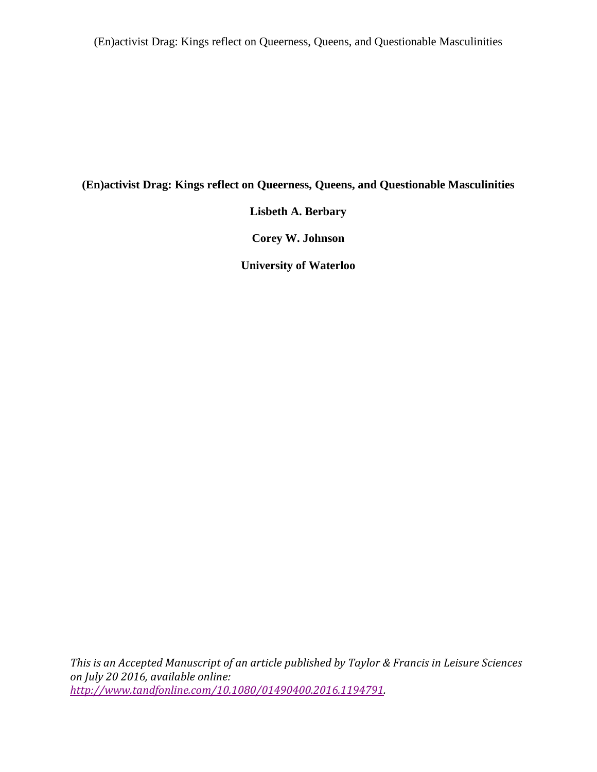## **(En)activist Drag: Kings reflect on Queerness, Queens, and Questionable Masculinities**

**Lisbeth A. Berbary**

**Corey W. Johnson**

**University of Waterloo**

*This is an Accepted Manuscript of an article published by Taylor & Francis in Leisure Sciences on July 20 2016, available online: [http://www.tandfonline.com/10.1080/01490400.2016.1194791.](http://www.tandfonline.com/10.1080/01490400.2016.1194791)*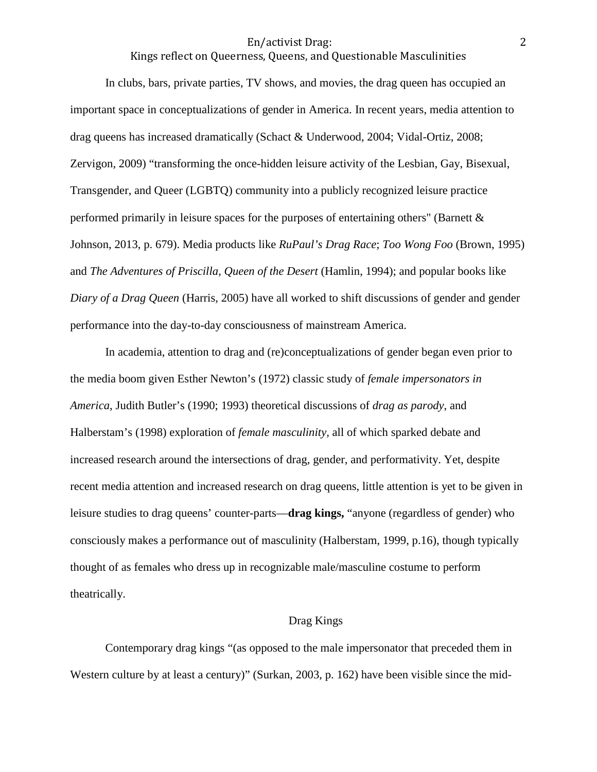## Kings reflect on Queerness, Queens, and Questionable Masculinities

In clubs, bars, private parties, TV shows, and movies, the drag queen has occupied an important space in conceptualizations of gender in America. In recent years, media attention to drag queens has increased dramatically (Schact & Underwood, 2004; Vidal-Ortiz, 2008; Zervigon, 2009) "transforming the once-hidden leisure activity of the Lesbian, Gay, Bisexual, Transgender, and Queer (LGBTQ) community into a publicly recognized leisure practice performed primarily in leisure spaces for the purposes of entertaining others" (Barnett & Johnson, 2013, p. 679). Media products like *RuPaul's Drag Race*; *Too Wong Foo* (Brown, 1995) and *The Adventures of Priscilla, Queen of the Desert* (Hamlin, 1994); and popular books like *Diary of a Drag Queen* (Harris, 2005) have all worked to shift discussions of gender and gender performance into the day-to-day consciousness of mainstream America.

In academia, attention to drag and (re)conceptualizations of gender began even prior to the media boom given Esther Newton's (1972) classic study of *female impersonators in America*, Judith Butler's (1990; 1993) theoretical discussions of *drag as parody*, and Halberstam's (1998) exploration of *female masculinity,* all of which sparked debate and increased research around the intersections of drag, gender, and performativity. Yet, despite recent media attention and increased research on drag queens, little attention is yet to be given in leisure studies to drag queens' counter-parts—**drag kings,** "anyone (regardless of gender) who consciously makes a performance out of masculinity (Halberstam, 1999, p.16), though typically thought of as females who dress up in recognizable male/masculine costume to perform theatrically.

### Drag Kings

Contemporary drag kings "(as opposed to the male impersonator that preceded them in Western culture by at least a century)" (Surkan, 2003, p. 162) have been visible since the mid-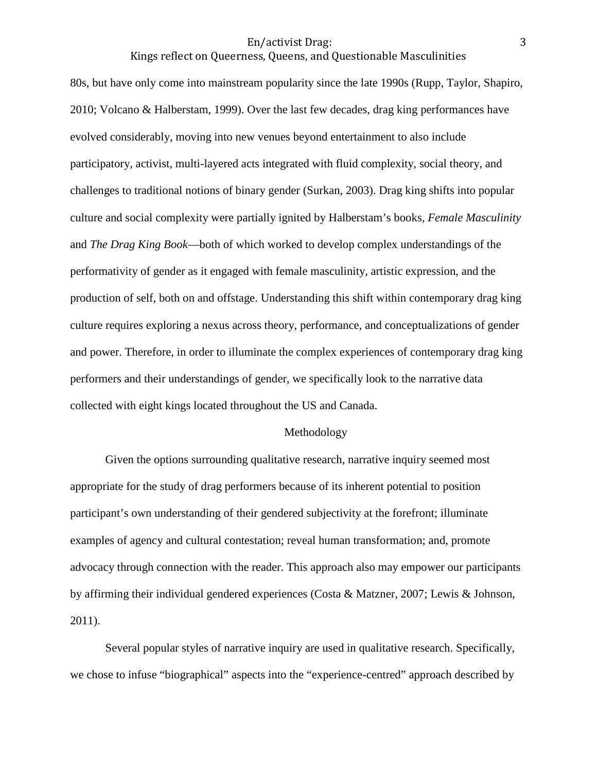## Kings reflect on Queerness, Queens, and Questionable Masculinities

80s, but have only come into mainstream popularity since the late 1990s (Rupp, Taylor, Shapiro, 2010; Volcano & Halberstam, 1999). Over the last few decades, drag king performances have evolved considerably, moving into new venues beyond entertainment to also include participatory, activist, multi-layered acts integrated with fluid complexity, social theory, and challenges to traditional notions of binary gender (Surkan, 2003). Drag king shifts into popular culture and social complexity were partially ignited by Halberstam's books, *Female Masculinity* and *The Drag King Book*—both of which worked to develop complex understandings of the performativity of gender as it engaged with female masculinity, artistic expression, and the production of self, both on and offstage. Understanding this shift within contemporary drag king culture requires exploring a nexus across theory, performance, and conceptualizations of gender and power. Therefore, in order to illuminate the complex experiences of contemporary drag king performers and their understandings of gender, we specifically look to the narrative data collected with eight kings located throughout the US and Canada.

#### Methodology

Given the options surrounding qualitative research, narrative inquiry seemed most appropriate for the study of drag performers because of its inherent potential to position participant's own understanding of their gendered subjectivity at the forefront; illuminate examples of agency and cultural contestation; reveal human transformation; and, promote advocacy through connection with the reader. This approach also may empower our participants by affirming their individual gendered experiences (Costa & Matzner, 2007; Lewis & Johnson, 2011).

Several popular styles of narrative inquiry are used in qualitative research. Specifically, we chose to infuse "biographical" aspects into the "experience-centred" approach described by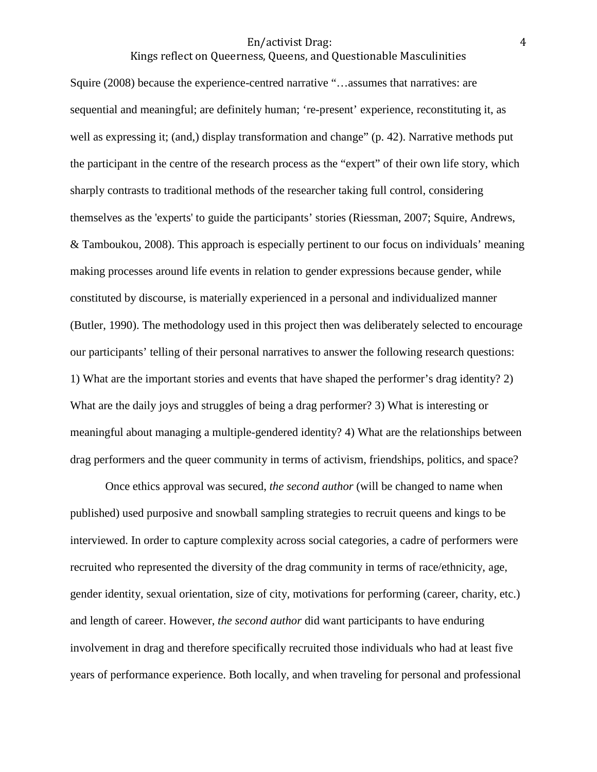## Kings reflect on Queerness, Queens, and Questionable Masculinities

Squire (2008) because the experience-centred narrative "…assumes that narratives: are sequential and meaningful; are definitely human; 're-present' experience, reconstituting it, as well as expressing it; (and,) display transformation and change" (p. 42). Narrative methods put the participant in the centre of the research process as the "expert" of their own life story, which sharply contrasts to traditional methods of the researcher taking full control, considering themselves as the 'experts' to guide the participants' stories (Riessman, 2007; Squire, Andrews, & Tamboukou, 2008). This approach is especially pertinent to our focus on individuals' meaning making processes around life events in relation to gender expressions because gender, while constituted by discourse, is materially experienced in a personal and individualized manner (Butler, 1990). The methodology used in this project then was deliberately selected to encourage our participants' telling of their personal narratives to answer the following research questions: 1) What are the important stories and events that have shaped the performer's drag identity? 2) What are the daily joys and struggles of being a drag performer? 3) What is interesting or meaningful about managing a multiple-gendered identity? 4) What are the relationships between drag performers and the queer community in terms of activism, friendships, politics, and space?

Once ethics approval was secured, *the second author* (will be changed to name when published) used purposive and snowball sampling strategies to recruit queens and kings to be interviewed. In order to capture complexity across social categories, a cadre of performers were recruited who represented the diversity of the drag community in terms of race/ethnicity, age, gender identity, sexual orientation, size of city, motivations for performing (career, charity, etc.) and length of career. However, *the second author* did want participants to have enduring involvement in drag and therefore specifically recruited those individuals who had at least five years of performance experience. Both locally, and when traveling for personal and professional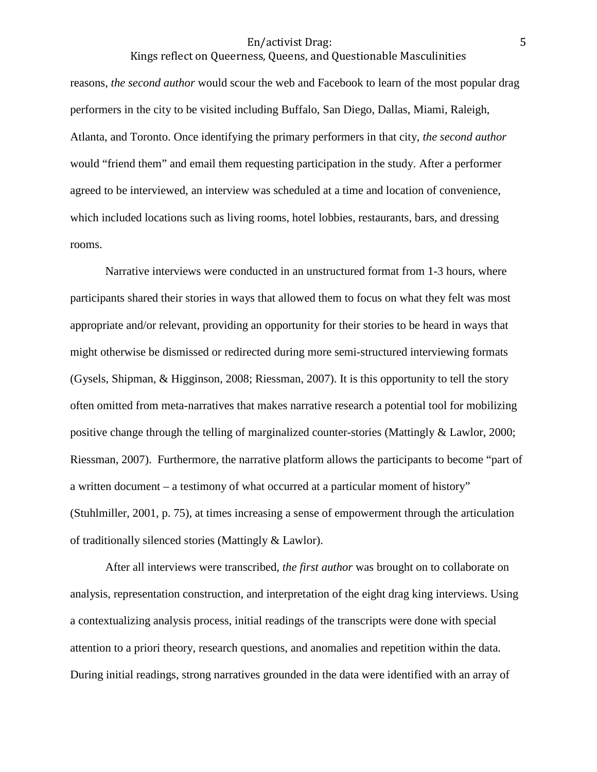## Kings reflect on Queerness, Queens, and Questionable Masculinities

reasons, *the second author* would scour the web and Facebook to learn of the most popular drag performers in the city to be visited including Buffalo, San Diego, Dallas, Miami, Raleigh, Atlanta, and Toronto. Once identifying the primary performers in that city, *the second author* would "friend them" and email them requesting participation in the study. After a performer agreed to be interviewed, an interview was scheduled at a time and location of convenience, which included locations such as living rooms, hotel lobbies, restaurants, bars, and dressing rooms.

Narrative interviews were conducted in an unstructured format from 1-3 hours, where participants shared their stories in ways that allowed them to focus on what they felt was most appropriate and/or relevant, providing an opportunity for their stories to be heard in ways that might otherwise be dismissed or redirected during more semi-structured interviewing formats (Gysels, Shipman, & Higginson, 2008; Riessman, 2007). It is this opportunity to tell the story often omitted from meta-narratives that makes narrative research a potential tool for mobilizing positive change through the telling of marginalized counter-stories (Mattingly & Lawlor, 2000; Riessman, 2007). Furthermore, the narrative platform allows the participants to become "part of a written document – a testimony of what occurred at a particular moment of history" (Stuhlmiller, 2001, p. 75), at times increasing a sense of empowerment through the articulation of traditionally silenced stories (Mattingly & Lawlor).

After all interviews were transcribed, *the first author* was brought on to collaborate on analysis, representation construction, and interpretation of the eight drag king interviews. Using a contextualizing analysis process, initial readings of the transcripts were done with special attention to a priori theory, research questions, and anomalies and repetition within the data. During initial readings, strong narratives grounded in the data were identified with an array of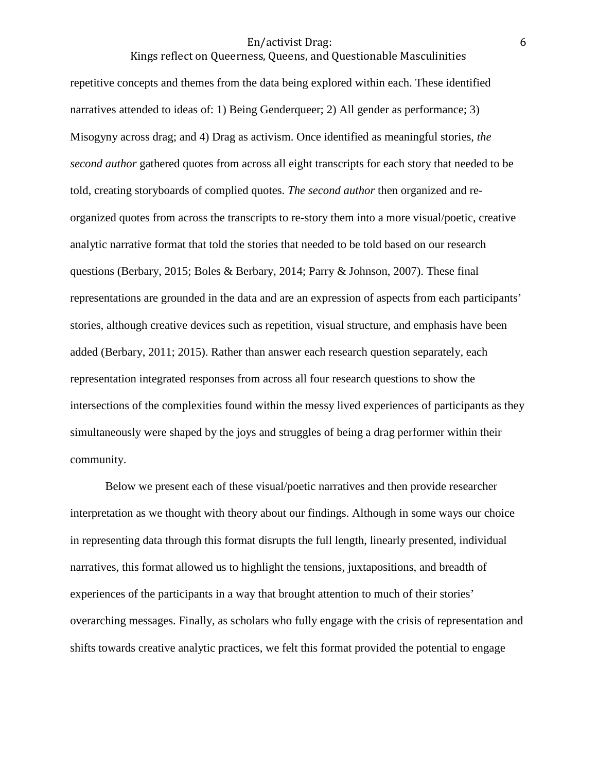## Kings reflect on Queerness, Queens, and Questionable Masculinities

repetitive concepts and themes from the data being explored within each. These identified narratives attended to ideas of: 1) Being Genderqueer; 2) All gender as performance; 3) Misogyny across drag; and 4) Drag as activism. Once identified as meaningful stories, *the second author* gathered quotes from across all eight transcripts for each story that needed to be told, creating storyboards of complied quotes. *The second author* then organized and reorganized quotes from across the transcripts to re-story them into a more visual/poetic, creative analytic narrative format that told the stories that needed to be told based on our research questions (Berbary, 2015; Boles & Berbary, 2014; Parry & Johnson, 2007). These final representations are grounded in the data and are an expression of aspects from each participants' stories, although creative devices such as repetition, visual structure, and emphasis have been added (Berbary, 2011; 2015). Rather than answer each research question separately, each representation integrated responses from across all four research questions to show the intersections of the complexities found within the messy lived experiences of participants as they simultaneously were shaped by the joys and struggles of being a drag performer within their community.

Below we present each of these visual/poetic narratives and then provide researcher interpretation as we thought with theory about our findings. Although in some ways our choice in representing data through this format disrupts the full length, linearly presented, individual narratives, this format allowed us to highlight the tensions, juxtapositions, and breadth of experiences of the participants in a way that brought attention to much of their stories' overarching messages. Finally, as scholars who fully engage with the crisis of representation and shifts towards creative analytic practices, we felt this format provided the potential to engage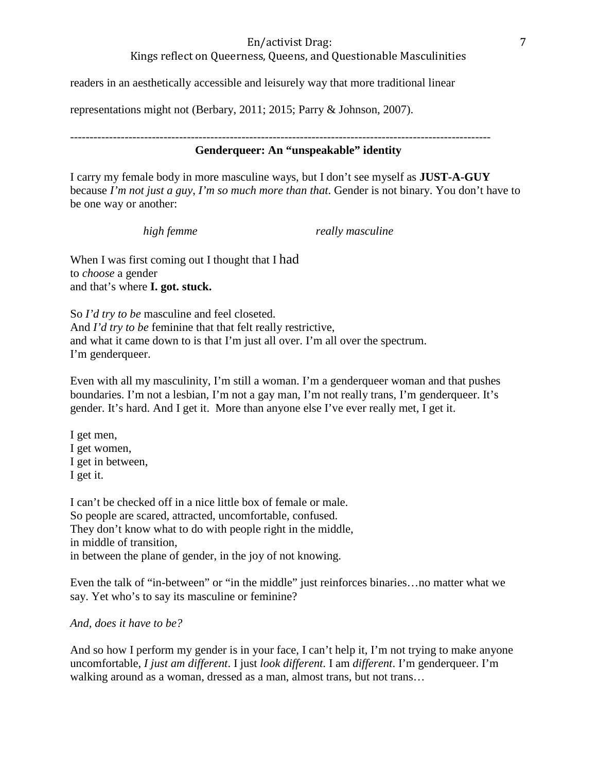readers in an aesthetically accessible and leisurely way that more traditional linear

representations might not (Berbary, 2011; 2015; Parry & Johnson, 2007).

------------------------------------------------------------------------------------------------------------

## **Genderqueer: An "unspeakable" identity**

I carry my female body in more masculine ways, but I don't see myself as **JUST-A-GUY** because *I'm not just a guy*, *I'm so much more than that*. Gender is not binary. You don't have to be one way or another:

*high femme really masculine*

When I was first coming out I thought that I had to *choose* a gender and that's where **I. got. stuck.**

So *I'd try to be* masculine and feel closeted. And *I'd try to be* feminine that that felt really restrictive, and what it came down to is that I'm just all over. I'm all over the spectrum. I'm genderqueer.

Even with all my masculinity, I'm still a woman. I'm a genderqueer woman and that pushes boundaries. I'm not a lesbian, I'm not a gay man, I'm not really trans, I'm genderqueer. It's gender. It's hard. And I get it. More than anyone else I've ever really met, I get it.

I get men, I get women, I get in between, I get it.

I can't be checked off in a nice little box of female or male. So people are scared, attracted, uncomfortable, confused. They don't know what to do with people right in the middle, in middle of transition, in between the plane of gender, in the joy of not knowing.

Even the talk of "in-between" or "in the middle" just reinforces binaries…no matter what we say. Yet who's to say its masculine or feminine?

## *And, does it have to be?*

And so how I perform my gender is in your face, I can't help it, I'm not trying to make anyone uncomfortable, *I just am different*. I just *look different*. I am *different*. I'm genderqueer. I'm walking around as a woman, dressed as a man, almost trans, but not trans...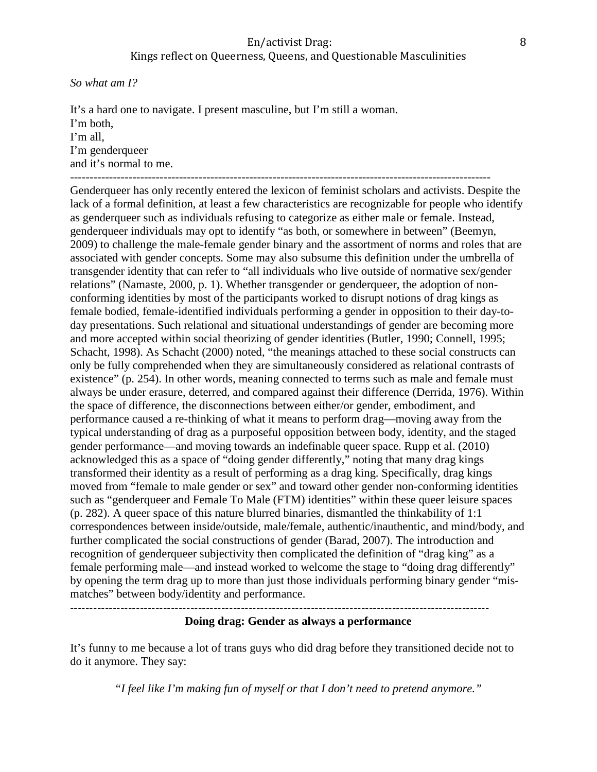*So what am I?*

It's a hard one to navigate. I present masculine, but I'm still a woman. I'm both, I'm all, I'm genderqueer and it's normal to me.

------------------------------------------------------------------------------------------------------------ Genderqueer has only recently entered the lexicon of feminist scholars and activists. Despite the lack of a formal definition, at least a few characteristics are recognizable for people who identify as genderqueer such as individuals refusing to categorize as either male or female. Instead, genderqueer individuals may opt to identify "as both, or somewhere in between" (Beemyn, 2009) to challenge the male-female gender binary and the assortment of norms and roles that are associated with gender concepts. Some may also subsume this definition under the umbrella of transgender identity that can refer to "all individuals who live outside of normative sex/gender relations" (Namaste, 2000, p. 1). Whether transgender or genderqueer, the adoption of nonconforming identities by most of the participants worked to disrupt notions of drag kings as female bodied, female-identified individuals performing a gender in opposition to their day-today presentations. Such relational and situational understandings of gender are becoming more and more accepted within social theorizing of gender identities (Butler, 1990; Connell, 1995; Schacht, 1998). As Schacht (2000) noted, "the meanings attached to these social constructs can only be fully comprehended when they are simultaneously considered as relational contrasts of existence" (p. 254). In other words, meaning connected to terms such as male and female must always be under erasure, deterred, and compared against their difference (Derrida, 1976). Within the space of difference, the disconnections between either/or gender, embodiment, and performance caused a re-thinking of what it means to perform drag—moving away from the typical understanding of drag as a purposeful opposition between body, identity, and the staged gender performance—and moving towards an indefinable queer space. Rupp et al. (2010) acknowledged this as a space of "doing gender differently," noting that many drag kings transformed their identity as a result of performing as a drag king. Specifically, drag kings moved from "female to male gender or sex" and toward other gender non-conforming identities such as "genderqueer and Female To Male (FTM) identities" within these queer leisure spaces (p. 282). A queer space of this nature blurred binaries, dismantled the thinkability of 1:1 correspondences between inside/outside, male/female, authentic/inauthentic, and mind/body, and further complicated the social constructions of gender (Barad, 2007). The introduction and recognition of genderqueer subjectivity then complicated the definition of "drag king" as a female performing male—and instead worked to welcome the stage to "doing drag differently" by opening the term drag up to more than just those individuals performing binary gender "mismatches" between body/identity and performance.

------------------------------------------------------------------------------------------------------------

## **Doing drag: Gender as always a performance**

It's funny to me because a lot of trans guys who did drag before they transitioned decide not to do it anymore. They say:

*"I feel like I'm making fun of myself or that I don't need to pretend anymore."*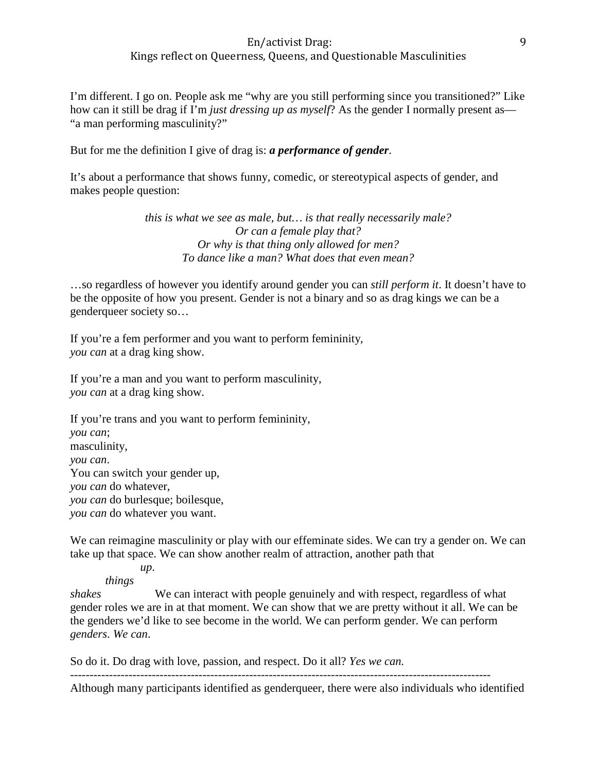I'm different. I go on. People ask me "why are you still performing since you transitioned?" Like how can it still be drag if I'm *just dressing up as myself*? As the gender I normally present as— "a man performing masculinity?"

But for me the definition I give of drag is: *a performance of gender*.

It's about a performance that shows funny, comedic, or stereotypical aspects of gender, and makes people question:

> *this is what we see as male, but… is that really necessarily male? Or can a female play that? Or why is that thing only allowed for men? To dance like a man? What does that even mean?*

…so regardless of however you identify around gender you can *still perform it*. It doesn't have to be the opposite of how you present. Gender is not a binary and so as drag kings we can be a genderqueer society so…

If you're a fem performer and you want to perform femininity, *you can* at a drag king show.

If you're a man and you want to perform masculinity, *you can* at a drag king show.

If you're trans and you want to perform femininity, *you can*; masculinity, *you can*. You can switch your gender up, *you can* do whatever, *you can* do burlesque; boilesque, *you can* do whatever you want.

We can reimagine masculinity or play with our effeminate sides. We can try a gender on. We can take up that space. We can show another realm of attraction, another path that

*up*.

*things*

*shakes* We can interact with people genuinely and with respect, regardless of what gender roles we are in at that moment. We can show that we are pretty without it all. We can be the genders we'd like to see become in the world. We can perform gender. We can perform *genders*. *We can*.

So do it. Do drag with love, passion, and respect. Do it all? *Yes we can.*

------------------------------------------------------------------------------------------------------------

Although many participants identified as genderqueer, there were also individuals who identified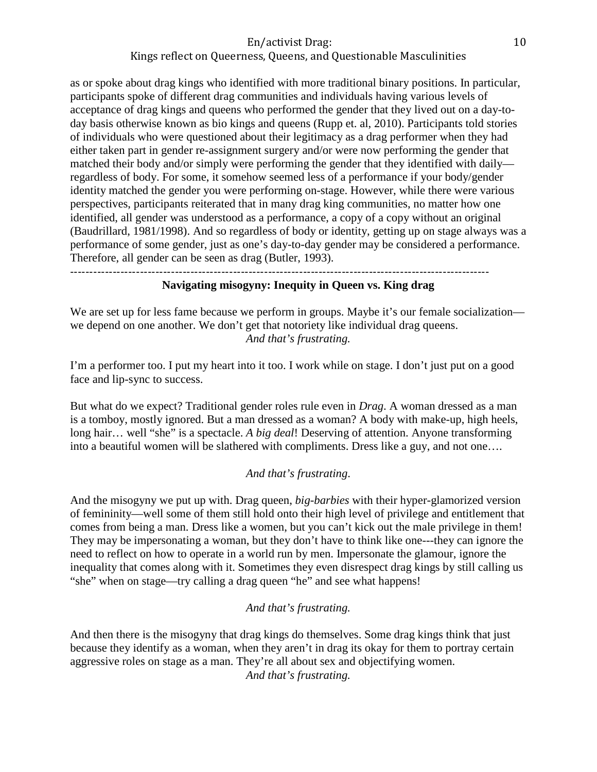as or spoke about drag kings who identified with more traditional binary positions. In particular, participants spoke of different drag communities and individuals having various levels of acceptance of drag kings and queens who performed the gender that they lived out on a day-today basis otherwise known as bio kings and queens (Rupp et. al, 2010). Participants told stories of individuals who were questioned about their legitimacy as a drag performer when they had either taken part in gender re-assignment surgery and/or were now performing the gender that matched their body and/or simply were performing the gender that they identified with daily regardless of body. For some, it somehow seemed less of a performance if your body/gender identity matched the gender you were performing on-stage. However, while there were various perspectives, participants reiterated that in many drag king communities, no matter how one identified, all gender was understood as a performance, a copy of a copy without an original (Baudrillard, 1981/1998). And so regardless of body or identity, getting up on stage always was a performance of some gender, just as one's day-to-day gender may be considered a performance. Therefore, all gender can be seen as drag (Butler, 1993). ------------------------------------------------------------------------------------------------------------

## **Navigating misogyny: Inequity in Queen vs. King drag**

We are set up for less fame because we perform in groups. Maybe it's our female socialization we depend on one another. We don't get that notoriety like individual drag queens. *And that's frustrating.*

I'm a performer too. I put my heart into it too. I work while on stage. I don't just put on a good face and lip-sync to success.

But what do we expect? Traditional gender roles rule even in *Drag*. A woman dressed as a man is a tomboy, mostly ignored. But a man dressed as a woman? A body with make-up, high heels, long hair… well "she" is a spectacle. *A big deal*! Deserving of attention. Anyone transforming into a beautiful women will be slathered with compliments. Dress like a guy, and not one….

## *And that's frustrating*.

And the misogyny we put up with. Drag queen, *big-barbies* with their hyper-glamorized version of femininity—well some of them still hold onto their high level of privilege and entitlement that comes from being a man. Dress like a women, but you can't kick out the male privilege in them! They may be impersonating a woman, but they don't have to think like one---they can ignore the need to reflect on how to operate in a world run by men. Impersonate the glamour, ignore the inequality that comes along with it. Sometimes they even disrespect drag kings by still calling us "she" when on stage—try calling a drag queen "he" and see what happens!

## *And that's frustrating.*

And then there is the misogyny that drag kings do themselves. Some drag kings think that just because they identify as a woman, when they aren't in drag its okay for them to portray certain aggressive roles on stage as a man. They're all about sex and objectifying women.

*And that's frustrating.*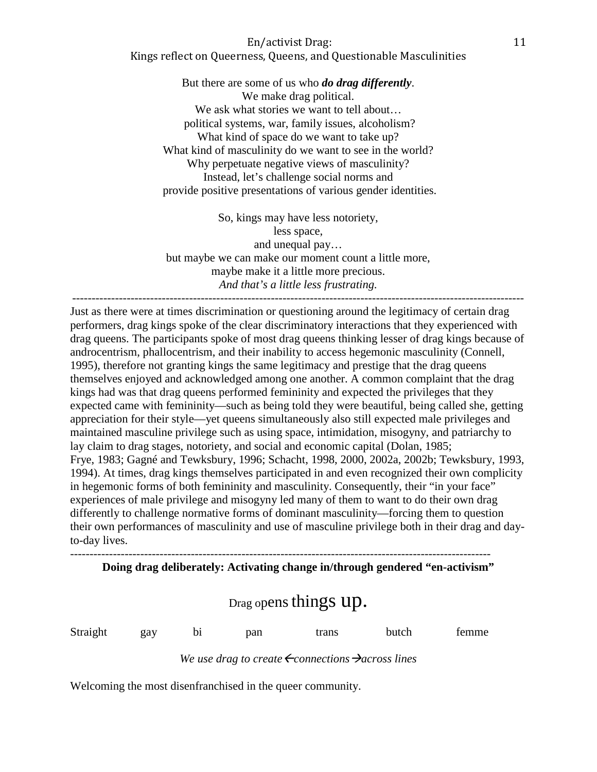But there are some of us who *do drag differently*. We make drag political. We ask what stories we want to tell about... political systems, war, family issues, alcoholism? What kind of space do we want to take up? What kind of masculinity do we want to see in the world? Why perpetuate negative views of masculinity? Instead, let's challenge social norms and provide positive presentations of various gender identities.

So, kings may have less notoriety, less space, and unequal pay… but maybe we can make our moment count a little more, maybe make it a little more precious. *And that's a little less frustrating.* 

Just as there were at times discrimination or questioning around the legitimacy of certain drag performers, drag kings spoke of the clear discriminatory interactions that they experienced with drag queens. The participants spoke of most drag queens thinking lesser of drag kings because of androcentrism, phallocentrism, and their inability to access hegemonic masculinity (Connell, 1995), therefore not granting kings the same legitimacy and prestige that the drag queens themselves enjoyed and acknowledged among one another. A common complaint that the drag kings had was that drag queens performed femininity and expected the privileges that they expected came with femininity—such as being told they were beautiful, being called she, getting appreciation for their style—yet queens simultaneously also still expected male privileges and maintained masculine privilege such as using space, intimidation, misogyny, and patriarchy to lay claim to drag stages, notoriety, and social and economic capital (Dolan, 1985; Frye, 1983; Gagné and Tewksbury, 1996; Schacht, 1998, 2000, 2002a, 2002b; Tewksbury, 1993, 1994). At times, drag kings themselves participated in and even recognized their own complicity in hegemonic forms of both femininity and masculinity. Consequently, their "in your face" experiences of male privilege and misogyny led many of them to want to do their own drag differently to challenge normative forms of dominant masculinity—forcing them to question their own performances of masculinity and use of masculine privilege both in their drag and dayto-day lives.

# ------------------------------------------------------------------------------------------------------------

## **Doing drag deliberately: Activating change in/through gendered "en-activism"**

# Drag opens things up.

| Straight | gay | b1 | pan | trans | butch | temme |
|----------|-----|----|-----|-------|-------|-------|
|          |     |    |     |       |       |       |

## *We use drag to create* ← *connections* → *across lines*

Welcoming the most disenfranchised in the queer community.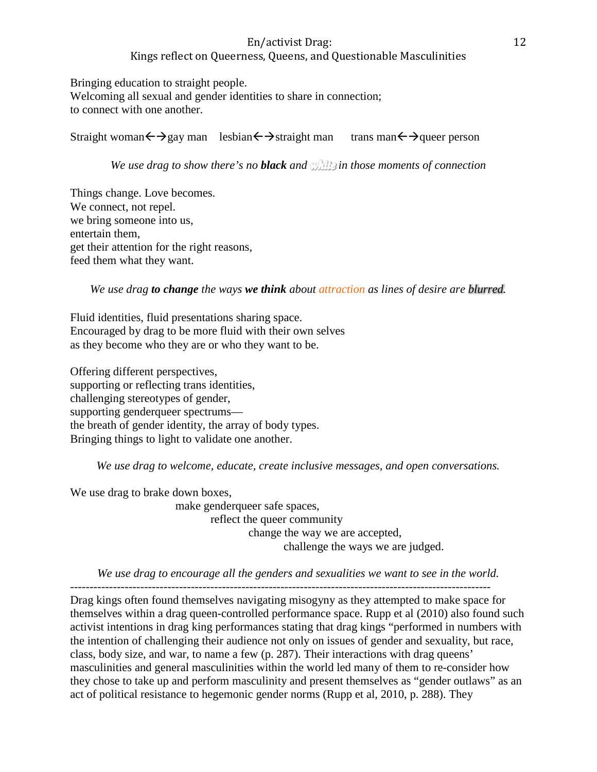Bringing education to straight people. Welcoming all sexual and gender identities to share in connection; to connect with one another.

Straight woman $\leftarrow$   $\rightarrow$  gay man lesbian $\leftarrow$   $\rightarrow$  straight man trans man $\leftarrow$   $\rightarrow$  queer person

*We use drag to show there's no black and in those moments of connection*

Things change. Love becomes. We connect, not repel. we bring someone into us, entertain them, get their attention for the right reasons, feed them what they want.

*We use drag to change the ways we think about attraction as lines of desire are blurred.*

Fluid identities, fluid presentations sharing space. Encouraged by drag to be more fluid with their own selves as they become who they are or who they want to be.

Offering different perspectives, supporting or reflecting trans identities, challenging stereotypes of gender, supporting genderqueer spectrums the breath of gender identity, the array of body types. Bringing things to light to validate one another.

*We use drag to welcome, educate, create inclusive messages, and open conversations.*

We use drag to brake down boxes,

make genderqueer safe spaces, reflect the queer community change the way we are accepted, challenge the ways we are judged.

*We use drag to encourage all the genders and sexualities we want to see in the world.*

Drag kings often found themselves navigating misogyny as they attempted to make space for themselves within a drag queen-controlled performance space. Rupp et al (2010) also found such activist intentions in drag king performances stating that drag kings "performed in numbers with the intention of challenging their audience not only on issues of gender and sexuality, but race, class, body size, and war, to name a few (p. 287). Their interactions with drag queens' masculinities and general masculinities within the world led many of them to re-consider how they chose to take up and perform masculinity and present themselves as "gender outlaws" as an act of political resistance to hegemonic gender norms (Rupp et al, 2010, p. 288). They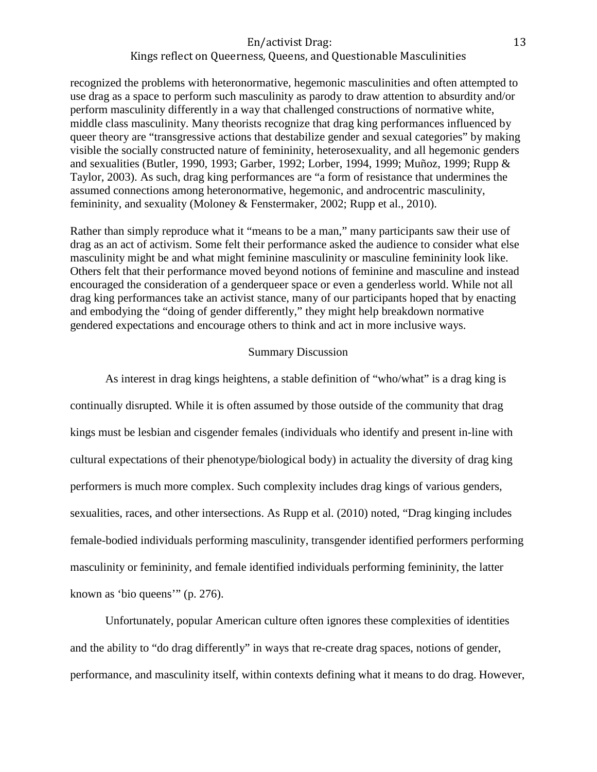recognized the problems with heteronormative, hegemonic masculinities and often attempted to use drag as a space to perform such masculinity as parody to draw attention to absurdity and/or perform masculinity differently in a way that challenged constructions of normative white, middle class masculinity. Many theorists recognize that drag king performances influenced by queer theory are "transgressive actions that destabilize gender and sexual categories" by making visible the socially constructed nature of femininity, heterosexuality, and all hegemonic genders and sexualities (Butler, 1990, 1993; Garber, 1992; Lorber, 1994, 1999; Muñoz, 1999; Rupp & Taylor, 2003). As such, drag king performances are "a form of resistance that undermines the assumed connections among heteronormative, hegemonic, and androcentric masculinity, femininity, and sexuality (Moloney & Fenstermaker, 2002; Rupp et al., 2010).

Rather than simply reproduce what it "means to be a man," many participants saw their use of drag as an act of activism. Some felt their performance asked the audience to consider what else masculinity might be and what might feminine masculinity or masculine femininity look like. Others felt that their performance moved beyond notions of feminine and masculine and instead encouraged the consideration of a genderqueer space or even a genderless world. While not all drag king performances take an activist stance, many of our participants hoped that by enacting and embodying the "doing of gender differently," they might help breakdown normative gendered expectations and encourage others to think and act in more inclusive ways.

### Summary Discussion

As interest in drag kings heightens, a stable definition of "who/what" is a drag king is continually disrupted. While it is often assumed by those outside of the community that drag kings must be lesbian and cisgender females (individuals who identify and present in-line with cultural expectations of their phenotype/biological body) in actuality the diversity of drag king performers is much more complex. Such complexity includes drag kings of various genders, sexualities, races, and other intersections. As Rupp et al. (2010) noted, "Drag kinging includes female-bodied individuals performing masculinity, transgender identified performers performing masculinity or femininity, and female identified individuals performing femininity, the latter known as 'bio queens'" (p. 276).

Unfortunately, popular American culture often ignores these complexities of identities and the ability to "do drag differently" in ways that re-create drag spaces, notions of gender, performance, and masculinity itself, within contexts defining what it means to do drag. However,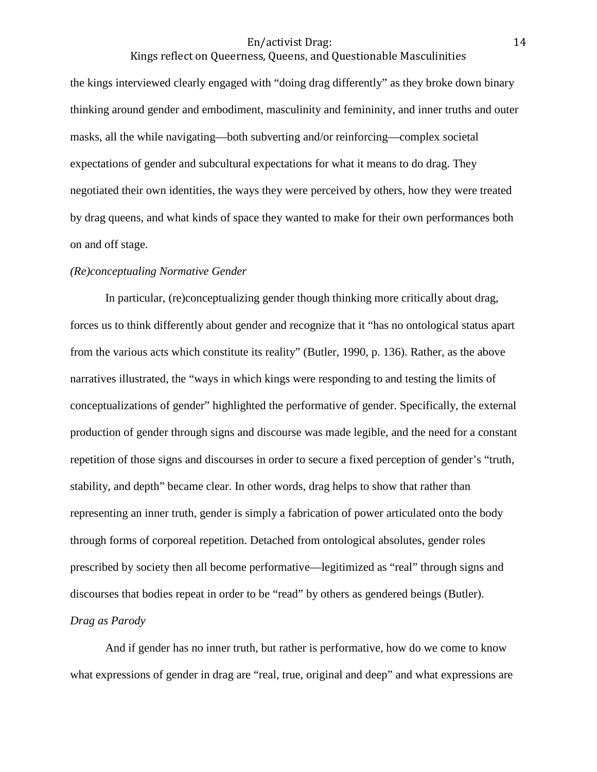## Kings reflect on Queerness, Queens, and Questionable Masculinities

the kings interviewed clearly engaged with "doing drag differently" as they broke down binary thinking around gender and embodiment, masculinity and femininity, and inner truths and outer masks, all the while navigating—both subverting and/or reinforcing—complex societal expectations of gender and subcultural expectations for what it means to do drag. They negotiated their own identities, the ways they were perceived by others, how they were treated by drag queens, and what kinds of space they wanted to make for their own performances both on and off stage.

### *(Re)conceptualing Normative Gender*

In particular, (re)conceptualizing gender though thinking more critically about drag, forces us to think differently about gender and recognize that it "has no ontological status apart from the various acts which constitute its reality" (Butler, 1990, p. 136). Rather, as the above narratives illustrated, the "ways in which kings were responding to and testing the limits of conceptualizations of gender" highlighted the performative of gender. Specifically, the external production of gender through signs and discourse was made legible, and the need for a constant repetition of those signs and discourses in order to secure a fixed perception of gender's "truth, stability, and depth" became clear. In other words, drag helps to show that rather than representing an inner truth, gender is simply a fabrication of power articulated onto the body through forms of corporeal repetition. Detached from ontological absolutes, gender roles prescribed by society then all become performative—legitimized as "real" through signs and discourses that bodies repeat in order to be "read" by others as gendered beings (Butler). *Drag as Parody*

And if gender has no inner truth, but rather is performative, how do we come to know what expressions of gender in drag are "real, true, original and deep" and what expressions are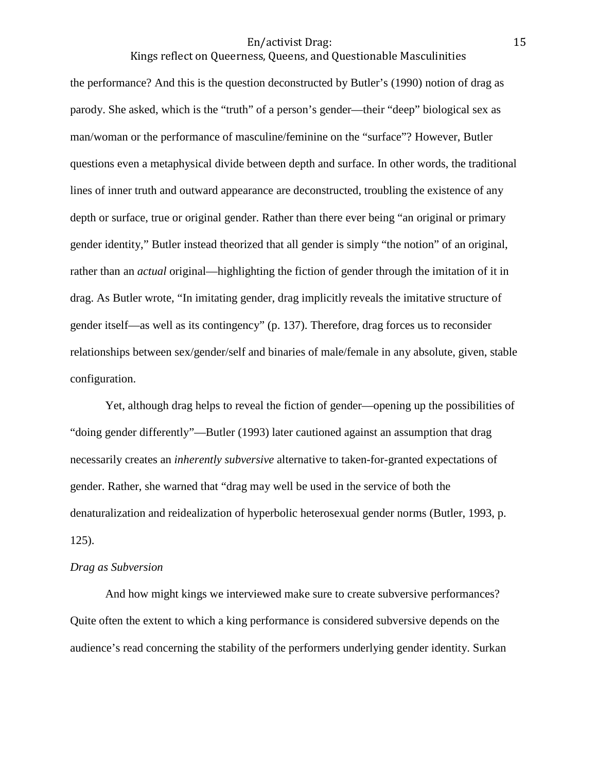## Kings reflect on Queerness, Queens, and Questionable Masculinities

the performance? And this is the question deconstructed by Butler's (1990) notion of drag as parody. She asked, which is the "truth" of a person's gender—their "deep" biological sex as man/woman or the performance of masculine/feminine on the "surface"? However, Butler questions even a metaphysical divide between depth and surface. In other words, the traditional lines of inner truth and outward appearance are deconstructed, troubling the existence of any depth or surface, true or original gender. Rather than there ever being "an original or primary gender identity," Butler instead theorized that all gender is simply "the notion" of an original, rather than an *actual* original—highlighting the fiction of gender through the imitation of it in drag. As Butler wrote, "In imitating gender, drag implicitly reveals the imitative structure of gender itself—as well as its contingency" (p. 137). Therefore, drag forces us to reconsider relationships between sex/gender/self and binaries of male/female in any absolute, given, stable configuration.

Yet, although drag helps to reveal the fiction of gender—opening up the possibilities of "doing gender differently"—Butler (1993) later cautioned against an assumption that drag necessarily creates an *inherently subversive* alternative to taken-for-granted expectations of gender. Rather, she warned that "drag may well be used in the service of both the denaturalization and reidealization of hyperbolic heterosexual gender norms (Butler, 1993, p. 125).

### *Drag as Subversion*

And how might kings we interviewed make sure to create subversive performances? Quite often the extent to which a king performance is considered subversive depends on the audience's read concerning the stability of the performers underlying gender identity. Surkan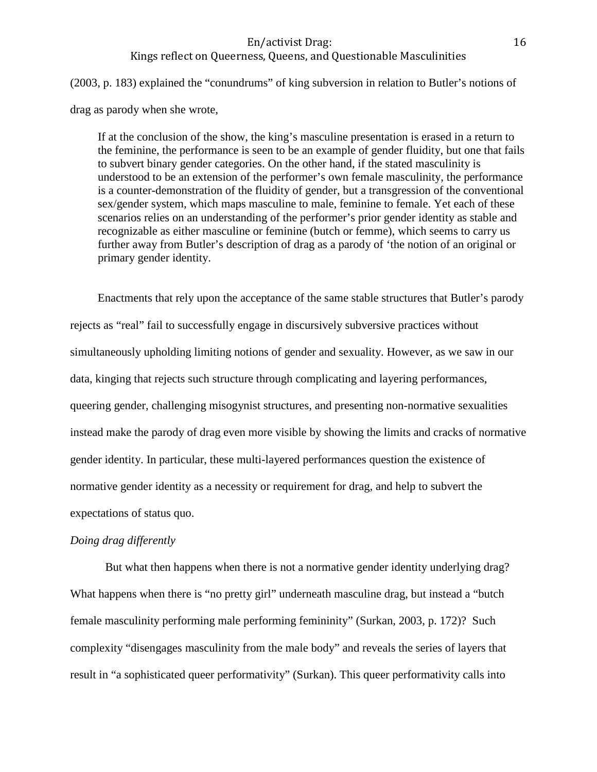(2003, p. 183) explained the "conundrums" of king subversion in relation to Butler's notions of drag as parody when she wrote,

If at the conclusion of the show, the king's masculine presentation is erased in a return to the feminine, the performance is seen to be an example of gender fluidity, but one that fails to subvert binary gender categories. On the other hand, if the stated masculinity is understood to be an extension of the performer's own female masculinity, the performance is a counter-demonstration of the fluidity of gender, but a transgression of the conventional sex/gender system, which maps masculine to male, feminine to female. Yet each of these scenarios relies on an understanding of the performer's prior gender identity as stable and recognizable as either masculine or feminine (butch or femme), which seems to carry us further away from Butler's description of drag as a parody of 'the notion of an original or primary gender identity.

Enactments that rely upon the acceptance of the same stable structures that Butler's parody rejects as "real" fail to successfully engage in discursively subversive practices without simultaneously upholding limiting notions of gender and sexuality. However, as we saw in our data, kinging that rejects such structure through complicating and layering performances, queering gender, challenging misogynist structures, and presenting non-normative sexualities instead make the parody of drag even more visible by showing the limits and cracks of normative gender identity. In particular, these multi-layered performances question the existence of normative gender identity as a necessity or requirement for drag, and help to subvert the expectations of status quo.

### *Doing drag differently*

But what then happens when there is not a normative gender identity underlying drag? What happens when there is "no pretty girl" underneath masculine drag, but instead a "butch" female masculinity performing male performing femininity" (Surkan, 2003, p. 172)? Such complexity "disengages masculinity from the male body" and reveals the series of layers that result in "a sophisticated queer performativity" (Surkan). This queer performativity calls into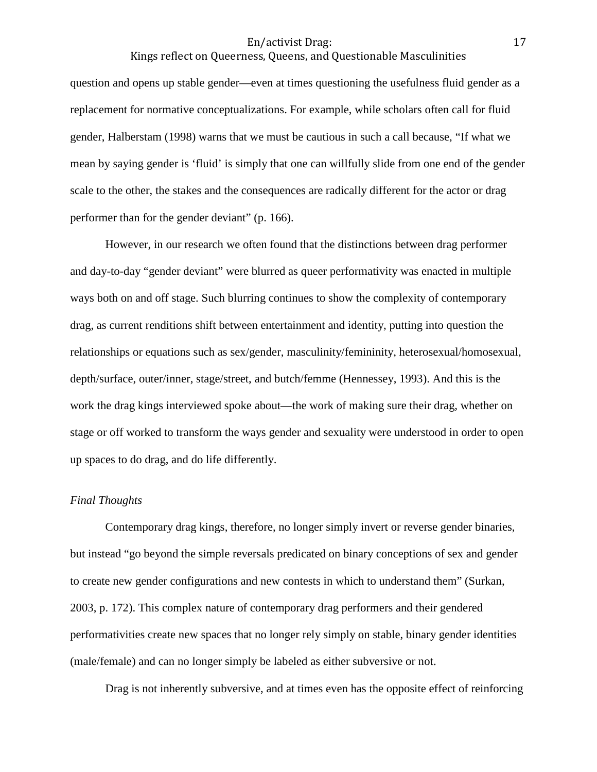## Kings reflect on Queerness, Queens, and Questionable Masculinities

question and opens up stable gender—even at times questioning the usefulness fluid gender as a replacement for normative conceptualizations. For example, while scholars often call for fluid gender, Halberstam (1998) warns that we must be cautious in such a call because, "If what we mean by saying gender is 'fluid' is simply that one can willfully slide from one end of the gender scale to the other, the stakes and the consequences are radically different for the actor or drag performer than for the gender deviant" (p. 166).

However, in our research we often found that the distinctions between drag performer and day-to-day "gender deviant" were blurred as queer performativity was enacted in multiple ways both on and off stage. Such blurring continues to show the complexity of contemporary drag, as current renditions shift between entertainment and identity, putting into question the relationships or equations such as sex/gender, masculinity/femininity, heterosexual/homosexual, depth/surface, outer/inner, stage/street, and butch/femme (Hennessey, 1993). And this is the work the drag kings interviewed spoke about—the work of making sure their drag, whether on stage or off worked to transform the ways gender and sexuality were understood in order to open up spaces to do drag, and do life differently.

### *Final Thoughts*

Contemporary drag kings, therefore, no longer simply invert or reverse gender binaries, but instead "go beyond the simple reversals predicated on binary conceptions of sex and gender to create new gender configurations and new contests in which to understand them" (Surkan, 2003, p. 172). This complex nature of contemporary drag performers and their gendered performativities create new spaces that no longer rely simply on stable, binary gender identities (male/female) and can no longer simply be labeled as either subversive or not.

Drag is not inherently subversive, and at times even has the opposite effect of reinforcing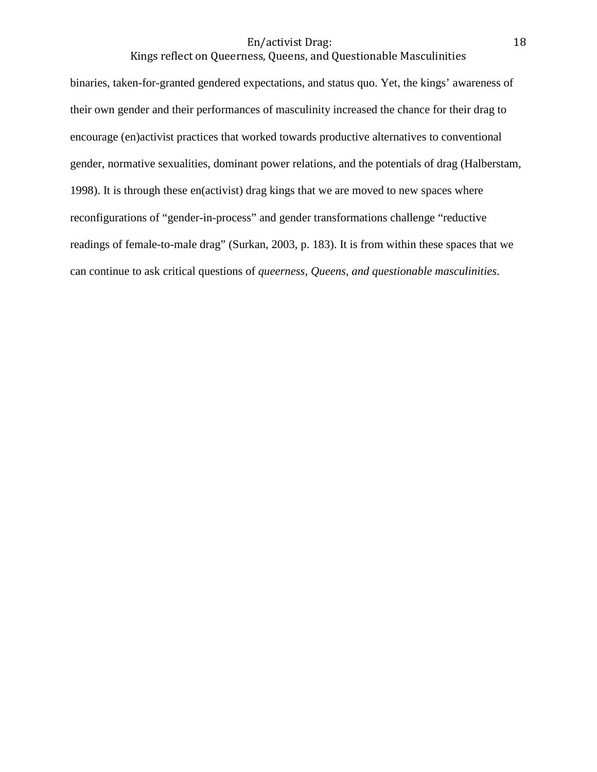## Kings reflect on Queerness, Queens, and Questionable Masculinities

binaries, taken-for-granted gendered expectations, and status quo. Yet, the kings' awareness of their own gender and their performances of masculinity increased the chance for their drag to encourage (en)activist practices that worked towards productive alternatives to conventional gender, normative sexualities, dominant power relations, and the potentials of drag (Halberstam, 1998). It is through these en(activist) drag kings that we are moved to new spaces where reconfigurations of "gender-in-process" and gender transformations challenge "reductive readings of female-to-male drag" (Surkan, 2003, p. 183). It is from within these spaces that we can continue to ask critical questions of *queerness, Queens, and questionable masculinities*.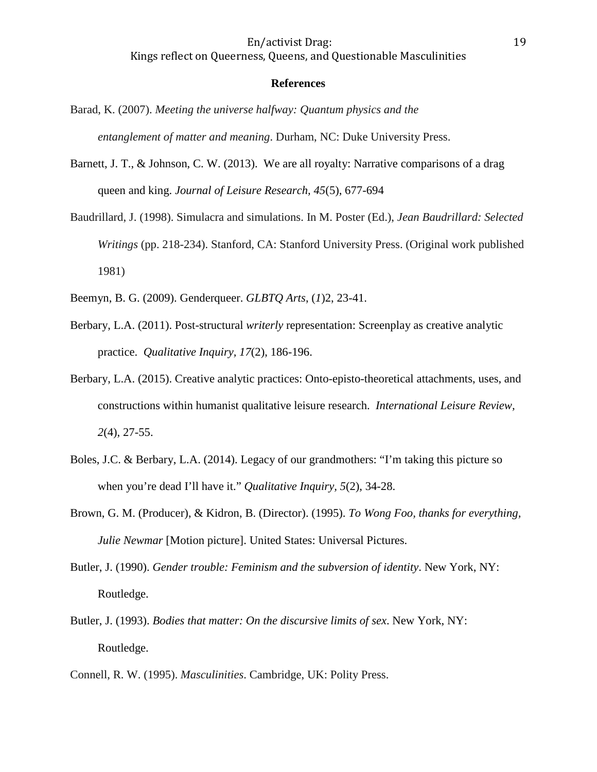### **References**

- Barad, K. (2007). *Meeting the universe halfway: Quantum physics and the entanglement of matter and meaning*. Durham, NC: Duke University Press.
- Barnett, J. T., & Johnson, C. W. (2013). We are all royalty: Narrative comparisons of a drag queen and king. *Journal of Leisure Research, 45*(5), 677-694
- Baudrillard, J. (1998). Simulacra and simulations. In M. Poster (Ed.), *Jean Baudrillard: Selected Writings* (pp. 218-234). Stanford, CA: Stanford University Press. (Original work published 1981)
- Beemyn, B. G. (2009). Genderqueer. *GLBTQ Arts*, (*1*)2, 23-41.
- Berbary, L.A. (2011). Post-structural *writerly* representation: Screenplay as creative analytic practice. *Qualitative Inquiry, 17*(2), 186-196.
- Berbary, L.A. (2015). Creative analytic practices: Onto-episto-theoretical attachments, uses, and constructions within humanist qualitative leisure research. *International Leisure Review, 2*(4), 27-55.
- Boles, J.C. & Berbary, L.A. (2014). Legacy of our grandmothers: "I'm taking this picture so when you're dead I'll have it." *Qualitative Inquiry, 5*(2), 34-28.
- Brown, G. M. (Producer), & Kidron, B. (Director). (1995). *To Wong Foo, thanks for everything, Julie Newmar* [Motion picture]. United States: Universal Pictures.
- Butler, J. (1990). *Gender trouble: Feminism and the subversion of identity*. New York, NY: Routledge.
- Butler, J. (1993). *Bodies that matter: On the discursive limits of sex*. New York, NY: Routledge.
- Connell, R. W. (1995). *Masculinities*. Cambridge, UK: Polity Press.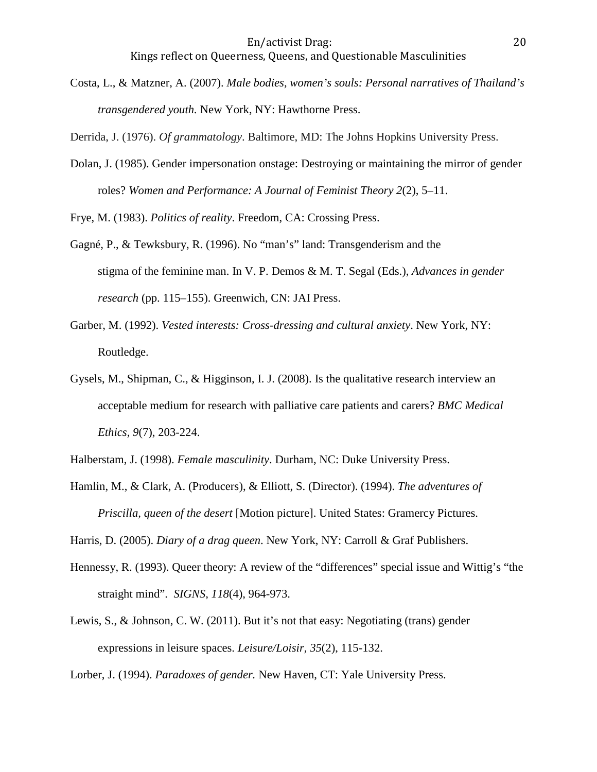Costa, L., & Matzner, A. (2007). *Male bodies, women's souls: Personal narratives of Thailand's transgendered youth.* New York, NY: Hawthorne Press.

Derrida, J. (1976). *Of grammatology*. Baltimore, MD: The Johns Hopkins University Press.

Dolan, J. (1985). Gender impersonation onstage: Destroying or maintaining the mirror of gender roles? *Women and Performance: A Journal of Feminist Theory 2*(2), 5–11.

Frye, M. (1983). *Politics of reality*. Freedom, CA: Crossing Press.

- Gagné, P., & Tewksbury, R. (1996). No "man's" land: Transgenderism and the stigma of the feminine man. In V. P. Demos & M. T. Segal (Eds.), *Advances in gender research* (pp. 115–155). Greenwich, CN: JAI Press.
- Garber, M. (1992). *Vested interests: Cross-dressing and cultural anxiety*. New York, NY: Routledge.
- Gysels, M., Shipman, C., & Higginson, I. J. (2008). Is the qualitative research interview an acceptable medium for research with palliative care patients and carers? *BMC Medical Ethics, 9*(7), 203-224.
- Halberstam, J. (1998). *Female masculinity*. Durham, NC: Duke University Press.
- Hamlin, M., & Clark, A. (Producers), & Elliott, S. (Director). (1994). *The adventures of Priscilla, queen of the desert* [Motion picture]. United States: Gramercy Pictures.

Harris, D. (2005). *Diary of a drag queen*. New York, NY: Carroll & Graf Publishers.

- Hennessy, R. (1993). Queer theory: A review of the "differences" special issue and Wittig's "the straight mind". *SIGNS, 118*(4), 964-973.
- Lewis, S., & Johnson, C. W. (2011). But it's not that easy: Negotiating (trans) gender expressions in leisure spaces. *Leisure/Loisir, 35*(2), 115-132.

Lorber, J. (1994). *Paradoxes of gender.* New Haven, CT: Yale University Press.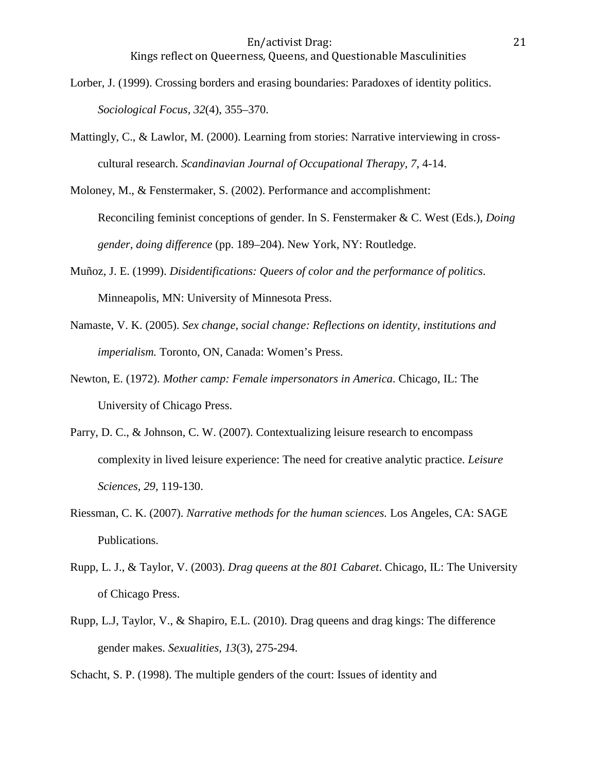- Lorber, J. (1999). Crossing borders and erasing boundaries: Paradoxes of identity politics. *Sociological Focus, 32*(4), 355–370.
- Mattingly, C., & Lawlor, M. (2000). Learning from stories: Narrative interviewing in crosscultural research. *Scandinavian Journal of Occupational Therapy, 7*, 4-14.
- Moloney, M., & Fenstermaker, S. (2002). Performance and accomplishment: Reconciling feminist conceptions of gender. In S. Fenstermaker & C. West (Eds.), *Doing gender, doing difference* (pp. 189–204). New York, NY: Routledge.
- Muñoz, J. E. (1999). *Disidentifications: Queers of color and the performance of politics*. Minneapolis, MN: University of Minnesota Press.
- Namaste, V. K. (2005). *Sex change, social change: Reflections on identity, institutions and imperialism.* Toronto, ON, Canada: Women's Press.
- Newton, E. (1972). *Mother camp: Female impersonators in America*. Chicago, IL: The University of Chicago Press.
- Parry, D. C., & Johnson, C. W. (2007). Contextualizing leisure research to encompass complexity in lived leisure experience: The need for creative analytic practice. *Leisure Sciences, 29,* 119-130.
- Riessman, C. K. (2007). *Narrative methods for the human sciences.* Los Angeles, CA: SAGE Publications.
- Rupp, L. J., & Taylor, V. (2003). *Drag queens at the 801 Cabaret*. Chicago, IL: The University of Chicago Press.
- Rupp, L.J, Taylor, V., & Shapiro, E.L. (2010). Drag queens and drag kings: The difference gender makes. *Sexualities, 13*(3), 275-294.
- Schacht, S. P. (1998). The multiple genders of the court: Issues of identity and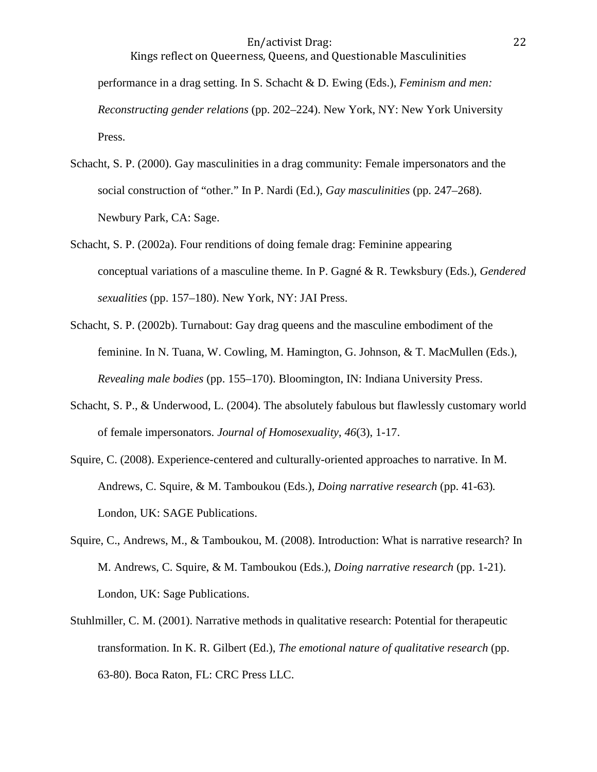Kings reflect on Queerness, Queens, and Questionable Masculinities performance in a drag setting. In S. Schacht & D. Ewing (Eds.), *Feminism and men: Reconstructing gender relations* (pp. 202–224). New York, NY: New York University Press.

- Schacht, S. P. (2000). Gay masculinities in a drag community: Female impersonators and the social construction of "other." In P. Nardi (Ed.), *Gay masculinities* (pp. 247–268). Newbury Park, CA: Sage.
- Schacht, S. P. (2002a). Four renditions of doing female drag: Feminine appearing conceptual variations of a masculine theme. In P. Gagné & R. Tewksbury (Eds.), *Gendered sexualities* (pp. 157–180). New York, NY: JAI Press.
- Schacht, S. P. (2002b). Turnabout: Gay drag queens and the masculine embodiment of the feminine. In N. Tuana, W. Cowling, M. Hamington, G. Johnson, & T. MacMullen (Eds.), *Revealing male bodies* (pp. 155–170). Bloomington, IN: Indiana University Press.
- Schacht, S. P., & Underwood, L. (2004). The absolutely fabulous but flawlessly customary world of female impersonators. *Journal of Homosexuality*, *46*(3), 1-17.
- Squire, C. (2008). Experience-centered and culturally-oriented approaches to narrative. In M. Andrews, C. Squire, & M. Tamboukou (Eds.), *Doing narrative research* (pp. 41-63)*.*  London, UK: SAGE Publications.
- Squire, C., Andrews, M., & Tamboukou, M. (2008). Introduction: What is narrative research? In M. Andrews, C. Squire, & M. Tamboukou (Eds.), *Doing narrative research* (pp. 1-21). London, UK: Sage Publications.
- Stuhlmiller, C. M. (2001). Narrative methods in qualitative research: Potential for therapeutic transformation. In K. R. Gilbert (Ed.), *The emotional nature of qualitative research* (pp. 63-80). Boca Raton, FL: CRC Press LLC.